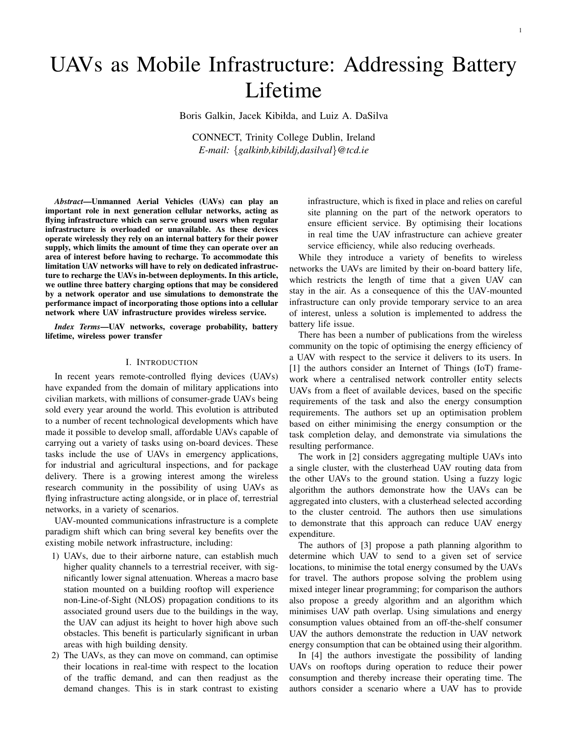# UAVs as Mobile Infrastructure: Addressing Battery Lifetime

Boris Galkin, Jacek Kibiłda, and Luiz A. DaSilva

CONNECT, Trinity College Dublin, Ireland *E-mail:* {*galkinb,kibildj,dasilval*}*@tcd.ie*

*Abstract*—Unmanned Aerial Vehicles (UAVs) can play an important role in next generation cellular networks, acting as flying infrastructure which can serve ground users when regular infrastructure is overloaded or unavailable. As these devices operate wirelessly they rely on an internal battery for their power supply, which limits the amount of time they can operate over an area of interest before having to recharge. To accommodate this limitation UAV networks will have to rely on dedicated infrastructure to recharge the UAVs in-between deployments. In this article, we outline three battery charging options that may be considered by a network operator and use simulations to demonstrate the performance impact of incorporating those options into a cellular network where UAV infrastructure provides wireless service.

*Index Terms*—UAV networks, coverage probability, battery lifetime, wireless power transfer

#### I. INTRODUCTION

In recent years remote-controlled flying devices (UAVs) have expanded from the domain of military applications into civilian markets, with millions of consumer-grade UAVs being sold every year around the world. This evolution is attributed to a number of recent technological developments which have made it possible to develop small, affordable UAVs capable of carrying out a variety of tasks using on-board devices. These tasks include the use of UAVs in emergency applications, for industrial and agricultural inspections, and for package delivery. There is a growing interest among the wireless research community in the possibility of using UAVs as flying infrastructure acting alongside, or in place of, terrestrial networks, in a variety of scenarios.

UAV-mounted communications infrastructure is a complete paradigm shift which can bring several key benefits over the existing mobile network infrastructure, including:

- 1) UAVs, due to their airborne nature, can establish much higher quality channels to a terrestrial receiver, with significantly lower signal attenuation. Whereas a macro base station mounted on a building rooftop will experience non-Line-of-Sight (NLOS) propagation conditions to its associated ground users due to the buildings in the way, the UAV can adjust its height to hover high above such obstacles. This benefit is particularly significant in urban areas with high building density.
- 2) The UAVs, as they can move on command, can optimise their locations in real-time with respect to the location of the traffic demand, and can then readjust as the demand changes. This is in stark contrast to existing

infrastructure, which is fixed in place and relies on careful site planning on the part of the network operators to ensure efficient service. By optimising their locations in real time the UAV infrastructure can achieve greater service efficiency, while also reducing overheads.

While they introduce a variety of benefits to wireless networks the UAVs are limited by their on-board battery life, which restricts the length of time that a given UAV can stay in the air. As a consequence of this the UAV-mounted infrastructure can only provide temporary service to an area of interest, unless a solution is implemented to address the battery life issue.

There has been a number of publications from the wireless community on the topic of optimising the energy efficiency of a UAV with respect to the service it delivers to its users. In [1] the authors consider an Internet of Things (IoT) framework where a centralised network controller entity selects UAVs from a fleet of available devices, based on the specific requirements of the task and also the energy consumption requirements. The authors set up an optimisation problem based on either minimising the energy consumption or the task completion delay, and demonstrate via simulations the resulting performance.

The work in [2] considers aggregating multiple UAVs into a single cluster, with the clusterhead UAV routing data from the other UAVs to the ground station. Using a fuzzy logic algorithm the authors demonstrate how the UAVs can be aggregated into clusters, with a clusterhead selected according to the cluster centroid. The authors then use simulations to demonstrate that this approach can reduce UAV energy expenditure.

The authors of [3] propose a path planning algorithm to determine which UAV to send to a given set of service locations, to minimise the total energy consumed by the UAVs for travel. The authors propose solving the problem using mixed integer linear programming; for comparison the authors also propose a greedy algorithm and an algorithm which minimises UAV path overlap. Using simulations and energy consumption values obtained from an off-the-shelf consumer UAV the authors demonstrate the reduction in UAV network energy consumption that can be obtained using their algorithm.

In [4] the authors investigate the possibility of landing UAVs on rooftops during operation to reduce their power consumption and thereby increase their operating time. The authors consider a scenario where a UAV has to provide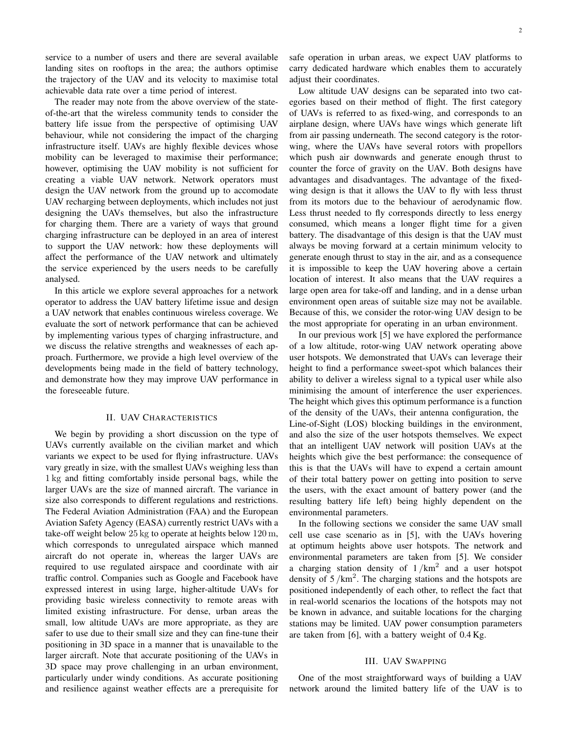service to a number of users and there are several available landing sites on rooftops in the area; the authors optimise the trajectory of the UAV and its velocity to maximise total achievable data rate over a time period of interest.

The reader may note from the above overview of the stateof-the-art that the wireless community tends to consider the battery life issue from the perspective of optimising UAV behaviour, while not considering the impact of the charging infrastructure itself. UAVs are highly flexible devices whose mobility can be leveraged to maximise their performance; however, optimising the UAV mobility is not sufficient for creating a viable UAV network. Network operators must design the UAV network from the ground up to accomodate UAV recharging between deployments, which includes not just designing the UAVs themselves, but also the infrastructure for charging them. There are a variety of ways that ground charging infrastructure can be deployed in an area of interest to support the UAV network: how these deployments will affect the performance of the UAV network and ultimately the service experienced by the users needs to be carefully analysed.

In this article we explore several approaches for a network operator to address the UAV battery lifetime issue and design a UAV network that enables continuous wireless coverage. We evaluate the sort of network performance that can be achieved by implementing various types of charging infrastructure, and we discuss the relative strengths and weaknesses of each approach. Furthermore, we provide a high level overview of the developments being made in the field of battery technology, and demonstrate how they may improve UAV performance in the foreseeable future.

#### II. UAV CHARACTERISTICS

We begin by providing a short discussion on the type of UAVs currently available on the civilian market and which variants we expect to be used for flying infrastructure. UAVs vary greatly in size, with the smallest UAVs weighing less than 1 kg and fitting comfortably inside personal bags, while the larger UAVs are the size of manned aircraft. The variance in size also corresponds to different regulations and restrictions. The Federal Aviation Administration (FAA) and the European Aviation Safety Agency (EASA) currently restrict UAVs with a take-off weight below 25 kg to operate at heights below 120 m, which corresponds to unregulated airspace which manned aircraft do not operate in, whereas the larger UAVs are required to use regulated airspace and coordinate with air traffic control. Companies such as Google and Facebook have expressed interest in using large, higher-altitude UAVs for providing basic wireless connectivity to remote areas with limited existing infrastructure. For dense, urban areas the small, low altitude UAVs are more appropriate, as they are safer to use due to their small size and they can fine-tune their positioning in 3D space in a manner that is unavailable to the larger aircraft. Note that accurate positioning of the UAVs in 3D space may prove challenging in an urban environment, particularly under windy conditions. As accurate positioning and resilience against weather effects are a prerequisite for safe operation in urban areas, we expect UAV platforms to carry dedicated hardware which enables them to accurately adjust their coordinates.

Low altitude UAV designs can be separated into two categories based on their method of flight. The first category of UAVs is referred to as fixed-wing, and corresponds to an airplane design, where UAVs have wings which generate lift from air passing underneath. The second category is the rotorwing, where the UAVs have several rotors with propellors which push air downwards and generate enough thrust to counter the force of gravity on the UAV. Both designs have advantages and disadvantages. The advantage of the fixedwing design is that it allows the UAV to fly with less thrust from its motors due to the behaviour of aerodynamic flow. Less thrust needed to fly corresponds directly to less energy consumed, which means a longer flight time for a given battery. The disadvantage of this design is that the UAV must always be moving forward at a certain minimum velocity to generate enough thrust to stay in the air, and as a consequence it is impossible to keep the UAV hovering above a certain location of interest. It also means that the UAV requires a large open area for take-off and landing, and in a dense urban environment open areas of suitable size may not be available. Because of this, we consider the rotor-wing UAV design to be the most appropriate for operating in an urban environment.

In our previous work [5] we have explored the performance of a low altitude, rotor-wing UAV network operating above user hotspots. We demonstrated that UAVs can leverage their height to find a performance sweet-spot which balances their ability to deliver a wireless signal to a typical user while also minimising the amount of interference the user experiences. The height which gives this optimum performance is a function of the density of the UAVs, their antenna configuration, the Line-of-Sight (LOS) blocking buildings in the environment, and also the size of the user hotspots themselves. We expect that an intelligent UAV network will position UAVs at the heights which give the best performance: the consequence of this is that the UAVs will have to expend a certain amount of their total battery power on getting into position to serve the users, with the exact amount of battery power (and the resulting battery life left) being highly dependent on the environmental parameters.

In the following sections we consider the same UAV small cell use case scenario as in [5], with the UAVs hovering at optimum heights above user hotspots. The network and environmental parameters are taken from [5]. We consider a charging station density of  $1/km^2$  and a user hotspot density of  $5 / km<sup>2</sup>$ . The charging stations and the hotspots are positioned independently of each other, to reflect the fact that in real-world scenarios the locations of the hotspots may not be known in advance, and suitable locations for the charging stations may be limited. UAV power consumption parameters are taken from [6], with a battery weight of 0.4 Kg.

# III. UAV SWAPPING

One of the most straightforward ways of building a UAV network around the limited battery life of the UAV is to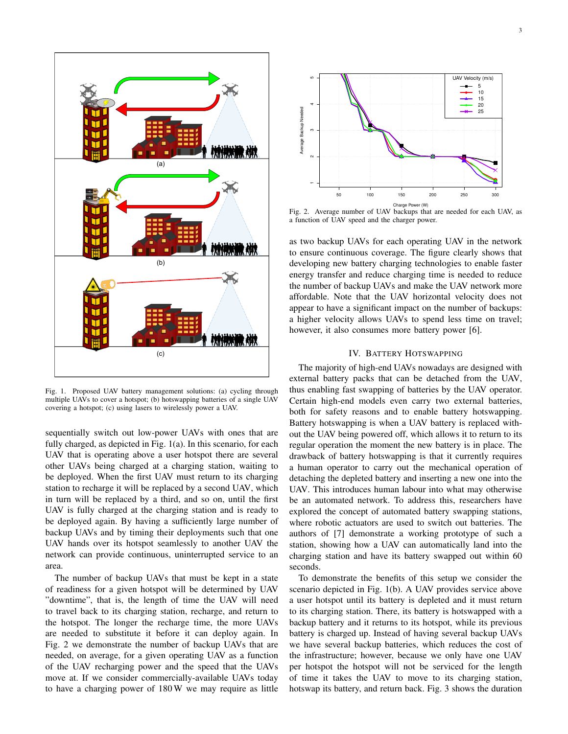

Fig. 1. Proposed UAV battery management solutions: (a) cycling through multiple UAVs to cover a hotspot; (b) hotswapping batteries of a single UAV covering a hotspot; (c) using lasers to wirelessly power a UAV.

sequentially switch out low-power UAVs with ones that are fully charged, as depicted in Fig. 1(a). In this scenario, for each UAV that is operating above a user hotspot there are several other UAVs being charged at a charging station, waiting to be deployed. When the first UAV must return to its charging station to recharge it will be replaced by a second UAV, which in turn will be replaced by a third, and so on, until the first UAV is fully charged at the charging station and is ready to be deployed again. By having a sufficiently large number of backup UAVs and by timing their deployments such that one UAV hands over its hotspot seamlessly to another UAV the network can provide continuous, uninterrupted service to an area.

The number of backup UAVs that must be kept in a state of readiness for a given hotspot will be determined by UAV "downtime", that is, the length of time the UAV will need to travel back to its charging station, recharge, and return to the hotspot. The longer the recharge time, the more UAVs are needed to substitute it before it can deploy again. In Fig. 2 we demonstrate the number of backup UAVs that are needed, on average, for a given operating UAV as a function of the UAV recharging power and the speed that the UAVs move at. If we consider commercially-available UAVs today



Fig. 2. Average number of UAV backups that are needed for each UAV, as a function of UAV speed and the charger power.

as two backup UAVs for each operating UAV in the network to ensure continuous coverage. The figure clearly shows that developing new battery charging technologies to enable faster energy transfer and reduce charging time is needed to reduce the number of backup UAVs and make the UAV network more affordable. Note that the UAV horizontal velocity does not appear to have a significant impact on the number of backups: a higher velocity allows UAVs to spend less time on travel; however, it also consumes more battery power [6].

## IV. BATTERY HOTSWAPPING

The majority of high-end UAVs nowadays are designed with external battery packs that can be detached from the UAV, thus enabling fast swapping of batteries by the UAV operator. Certain high-end models even carry two external batteries, both for safety reasons and to enable battery hotswapping. Battery hotswapping is when a UAV battery is replaced without the UAV being powered off, which allows it to return to its regular operation the moment the new battery is in place. The drawback of battery hotswapping is that it currently requires a human operator to carry out the mechanical operation of detaching the depleted battery and inserting a new one into the UAV. This introduces human labour into what may otherwise be an automated network. To address this, researchers have explored the concept of automated battery swapping stations, where robotic actuators are used to switch out batteries. The authors of [7] demonstrate a working prototype of such a station, showing how a UAV can automatically land into the charging station and have its battery swapped out within 60 seconds.

To demonstrate the benefits of this setup we consider the scenario depicted in Fig. 1(b). A UAV provides service above a user hotspot until its battery is depleted and it must return to its charging station. There, its battery is hotswapped with a backup battery and it returns to its hotspot, while its previous battery is charged up. Instead of having several backup UAVs we have several backup batteries, which reduces the cost of the infrastructure; however, because we only have one UAV per hotspot the hotspot will not be serviced for the length of time it takes the UAV to move to its charging station, hotswap its battery, and return back. Fig. 3 shows the duration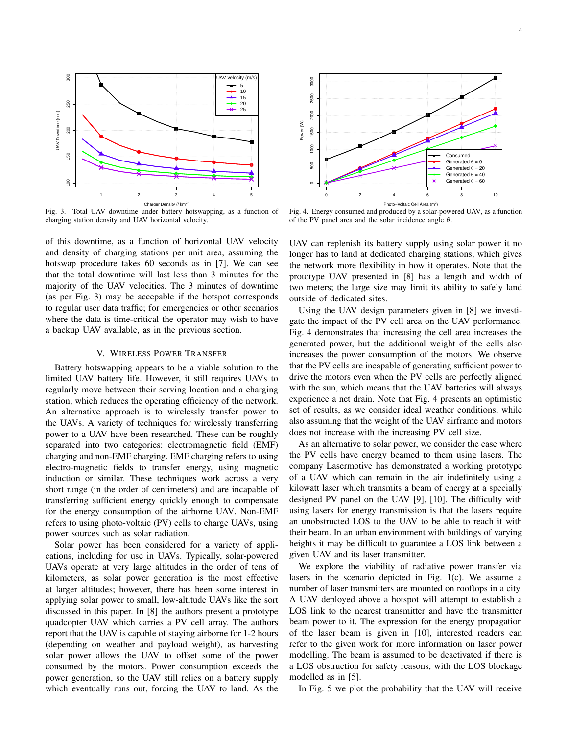

Fig. 3. Total UAV downtime under battery hotswapping, as a function of charging station density and UAV horizontal velocity.

of this downtime, as a function of horizontal UAV velocity and density of charging stations per unit area, assuming the hotswap procedure takes 60 seconds as in [7]. We can see that the total downtime will last less than 3 minutes for the majority of the UAV velocities. The 3 minutes of downtime (as per Fig. 3) may be accepable if the hotspot corresponds to regular user data traffic; for emergencies or other scenarios where the data is time-critical the operator may wish to have a backup UAV available, as in the previous section.

#### V. WIRELESS POWER TRANSFER

Battery hotswapping appears to be a viable solution to the limited UAV battery life. However, it still requires UAVs to regularly move between their serving location and a charging station, which reduces the operating efficiency of the network. An alternative approach is to wirelessly transfer power to the UAVs. A variety of techniques for wirelessly transferring power to a UAV have been researched. These can be roughly separated into two categories: electromagnetic field (EMF) charging and non-EMF charging. EMF charging refers to using electro-magnetic fields to transfer energy, using magnetic induction or similar. These techniques work across a very short range (in the order of centimeters) and are incapable of transferring sufficient energy quickly enough to compensate for the energy consumption of the airborne UAV. Non-EMF refers to using photo-voltaic (PV) cells to charge UAVs, using power sources such as solar radiation. Fig. 3. Total UAV consider the state of the state of the UAV to land the UAV to land the UAV total consider the UAV total consider the UAV total consider the UAV total consider the UAV total consider the UAV total conside

Solar power has been considered for a variety of applications, including for use in UAVs. Typically, solar-powered UAVs operate at very large altitudes in the order of tens of kilometers, as solar power generation is the most effective at larger altitudes; however, there has been some interest in applying solar power to small, low-altitude UAVs like the sort discussed in this paper. In [8] the authors present a prototype quadcopter UAV which carries a PV cell array. The authors report that the UAV is capable of staying airborne for 1-2 hours (depending on weather and payload weight), as harvesting solar power allows the UAV to offset some of the power consumed by the motors. Power consumption exceeds the power generation, so the UAV still relies on a battery supply



Fig. 4. Energy consumed and produced by a solar-powered UAV, as a function of the PV panel area and the solar incidence angle  $\theta$ .

UAV can replenish its battery supply using solar power it no longer has to land at dedicated charging stations, which gives the network more flexibility in how it operates. Note that the prototype UAV presented in [8] has a length and width of two meters; the large size may limit its ability to safely land outside of dedicated sites.

Using the UAV design parameters given in [8] we investigate the impact of the PV cell area on the UAV performance. Fig. 4 demonstrates that increasing the cell area increases the generated power, but the additional weight of the cells also increases the power consumption of the motors. We observe that the PV cells are incapable of generating sufficient power to drive the motors even when the PV cells are perfectly aligned with the sun, which means that the UAV batteries will always experience a net drain. Note that Fig. 4 presents an optimistic set of results, as we consider ideal weather conditions, while also assuming that the weight of the UAV airframe and motors does not increase with the increasing PV cell size.

As an alternative to solar power, we consider the case where the PV cells have energy beamed to them using lasers. The company Lasermotive has demonstrated a working prototype of a UAV which can remain in the air indefinitely using a kilowatt laser which transmits a beam of energy at a specially designed PV panel on the UAV [9], [10]. The difficulty with using lasers for energy transmission is that the lasers require an unobstructed LOS to the UAV to be able to reach it with their beam. In an urban environment with buildings of varying heights it may be difficult to guarantee a LOS link between a given UAV and its laser transmitter.

We explore the viability of radiative power transfer via lasers in the scenario depicted in Fig. 1(c). We assume a number of laser transmitters are mounted on rooftops in a city. A UAV deployed above a hotspot will attempt to establish a LOS link to the nearest transmitter and have the transmitter beam power to it. The expression for the energy propagation of the laser beam is given in [10], interested readers can refer to the given work for more information on laser power modelling. The beam is assumed to be deactivated if there is a LOS obstruction for safety reasons, with the LOS blockage modelled as in [5].

In Fig. 5 we plot the probability that the UAV will receive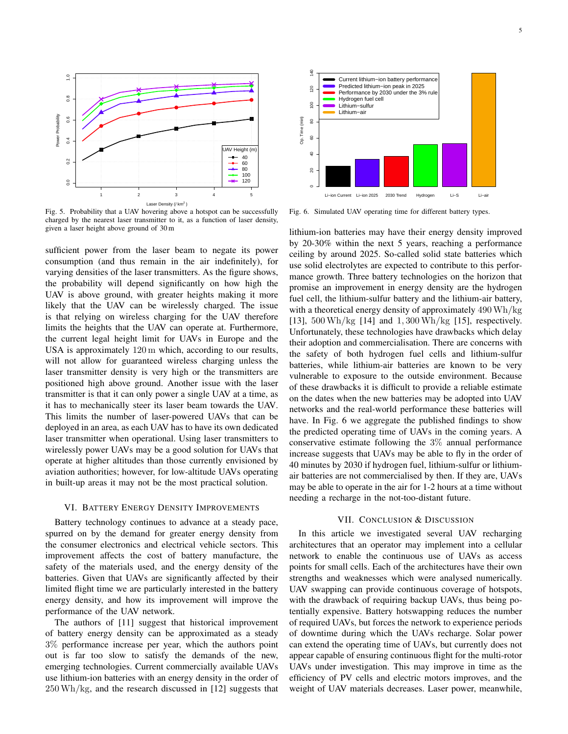

Fig. 5. Probability that a UAV hovering above a hotspot can be successfully charged by the nearest laser transmitter to it, as a function of laser density, given a laser height above ground of 30 m

sufficient power from the laser beam to negate its power consumption (and thus remain in the air indefinitely), for varying densities of the laser transmitters. As the figure shows, the probability will depend significantly on how high the UAV is above ground, with greater heights making it more likely that the UAV can be wirelessly charged. The issue is that relying on wireless charging for the UAV therefore limits the heights that the UAV can operate at. Furthermore, the current legal height limit for UAVs in Europe and the USA is approximately 120 m which, according to our results, will not allow for guaranteed wireless charging unless the laser transmitter density is very high or the transmitters are positioned high above ground. Another issue with the laser transmitter is that it can only power a single UAV at a time, as it has to mechanically steer its laser beam towards the UAV. This limits the number of laser-powered UAVs that can be deployed in an area, as each UAV has to have its own dedicated laser transmitter when operational. Using laser transmitters to wirelessly power UAVs may be a good solution for UAVs that operate at higher altitudes than those currently envisioned by aviation authorities; however, for low-altitude UAVs operating in built-up areas it may not be the most practical solution. Fig. 5. Postolitis olived in the research of the research discussed in the research of the research of the research of the research of the research of the research of the research of the research of the research of the r

#### VI. BATTERY ENERGY DENSITY IMPROVEMENTS

Battery technology continues to advance at a steady pace, spurred on by the demand for greater energy density from the consumer electronics and electrical vehicle sectors. This improvement affects the cost of battery manufacture, the safety of the materials used, and the energy density of the batteries. Given that UAVs are significantly affected by their limited flight time we are particularly interested in the battery energy density, and how its improvement will improve the performance of the UAV network.

The authors of [11] suggest that historical improvement of battery energy density can be approximated as a steady 3% performance increase per year, which the authors point out is far too slow to satisfy the demands of the new, emerging technologies. Current commercially available UAVs use lithium-ion batteries with an energy density in the order of



Fig. 6. Simulated UAV operating time for different battery types.

lithium-ion batteries may have their energy density improved by 20-30% within the next 5 years, reaching a performance ceiling by around 2025. So-called solid state batteries which use solid electrolytes are expected to contribute to this performance growth. Three battery technologies on the horizon that promise an improvement in energy density are the hydrogen fuel cell, the lithium-sulfur battery and the lithium-air battery, with a theoretical energy density of approximately 490Wh/kg [13], 500Wh/kg [14] and 1, 300Wh/kg [15], respectively. Unfortunately, these technologies have drawbacks which delay their adoption and commercialisation. There are concerns with the safety of both hydrogen fuel cells and lithium-sulfur batteries, while lithium-air batteries are known to be very vulnerable to exposure to the outside environment. Because of these drawbacks it is difficult to provide a reliable estimate on the dates when the new batteries may be adopted into UAV networks and the real-world performance these batteries will have. In Fig. 6 we aggregate the published findings to show the predicted operating time of UAVs in the coming years. A conservative estimate following the 3% annual performance increase suggests that UAVs may be able to fly in the order of 40 minutes by 2030 if hydrogen fuel, lithium-sulfur or lithiumair batteries are not commercialised by then. If they are, UAVs may be able to operate in the air for 1-2 hours at a time without needing a recharge in the not-too-distant future.

### VII. CONCLUSION & DISCUSSION

In this article we investigated several UAV recharging architectures that an operator may implement into a cellular network to enable the continuous use of UAVs as access points for small cells. Each of the architectures have their own strengths and weaknesses which were analysed numerically. UAV swapping can provide continuous coverage of hotspots, with the drawback of requiring backup UAVs, thus being potentially expensive. Battery hotswapping reduces the number of required UAVs, but forces the network to experience periods of downtime during which the UAVs recharge. Solar power can extend the operating time of UAVs, but currently does not appear capable of ensuring continuous flight for the multi-rotor UAVs under investigation. This may improve in time as the efficiency of PV cells and electric motors improves, and the weight of UAV materials decreases. Laser power, meanwhile,